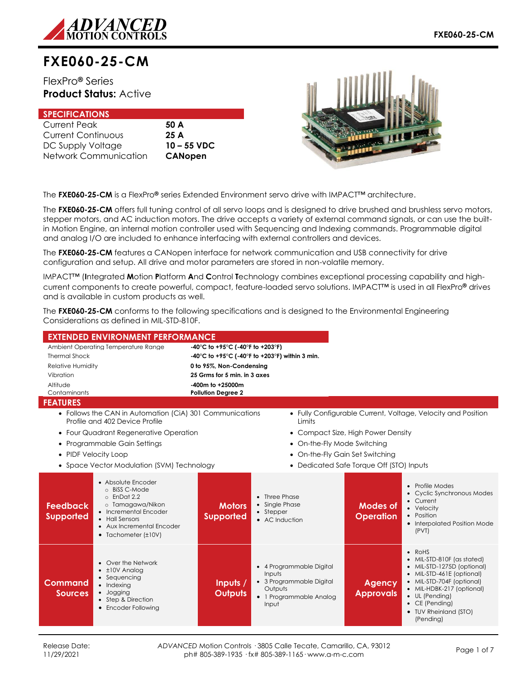

# **FXE060-25-CM**

## FlexPro**®** Series **Product Status:** Active

| <b>SPECIFICATIONS</b>     |                |
|---------------------------|----------------|
| <b>Current Peak</b>       | 50 A           |
| <b>Current Continuous</b> | 25A            |
| DC Supply Voltage         | $10 - 55$ VDC  |
| Network Communication     | <b>CANopen</b> |



The **FXE060-25-CM** is a FlexPro**®** series Extended Environment servo drive with IMPACT™ architecture.

The **FXE060-25-CM** offers full tuning control of all servo loops and is designed to drive brushed and brushless servo motors, stepper motors, and AC induction motors. The drive accepts a variety of external command signals, or can use the builtin Motion Engine, an internal motion controller used with Sequencing and Indexing commands. Programmable digital and analog I/O are included to enhance interfacing with external controllers and devices.

The **FXE060-25-CM** features a CANopen interface for network communication and USB connectivity for drive configuration and setup. All drive and motor parameters are stored in non-volatile memory.

IMPACT™ (**I**ntegrated **M**otion **P**latform **A**nd **C**ontrol **T**echnology combines exceptional processing capability and highcurrent components to create powerful, compact, feature-loaded servo solutions. IMPACT™ is used in all FlexPro**®** drives and is available in custom products as well.

The **FXE060-25-CM** conforms to the following specifications and is designed to the Environmental Engineering Considerations as defined in MIL-STD-810F.

| <b>EXTENDED ENVIRONMENT PERFORMANCE</b>                                                                                                                                                                                      |                                   |                                                                                                               |                                          |                                                                                                                                                                                                                                                     |
|------------------------------------------------------------------------------------------------------------------------------------------------------------------------------------------------------------------------------|-----------------------------------|---------------------------------------------------------------------------------------------------------------|------------------------------------------|-----------------------------------------------------------------------------------------------------------------------------------------------------------------------------------------------------------------------------------------------------|
| Ambient Operating Temperature Range                                                                                                                                                                                          | -40°C to +95°C (-40°F to +203°F)  |                                                                                                               |                                          |                                                                                                                                                                                                                                                     |
| <b>Thermal Shock</b>                                                                                                                                                                                                         |                                   | -40°C to +95°C (-40°F to +203°F) within 3 min.                                                                |                                          |                                                                                                                                                                                                                                                     |
| Relative Humidity                                                                                                                                                                                                            | 0 to 95%, Non-Condensing          |                                                                                                               |                                          |                                                                                                                                                                                                                                                     |
| Vibration                                                                                                                                                                                                                    | 25 Grms for 5 min. in 3 axes      |                                                                                                               |                                          |                                                                                                                                                                                                                                                     |
| Altitude                                                                                                                                                                                                                     | -400m to +25000m                  |                                                                                                               |                                          |                                                                                                                                                                                                                                                     |
| Contaminants                                                                                                                                                                                                                 | <b>Pollution Degree 2</b>         |                                                                                                               |                                          |                                                                                                                                                                                                                                                     |
| <b>FEATURES</b>                                                                                                                                                                                                              |                                   |                                                                                                               |                                          |                                                                                                                                                                                                                                                     |
| • Follows the CAN in Automation (CiA) 301 Communications<br>Profile and 402 Device Profile                                                                                                                                   |                                   | Limits                                                                                                        |                                          | • Fully Configurable Current, Voltage, Velocity and Position                                                                                                                                                                                        |
| • Four Quadrant Regenerative Operation                                                                                                                                                                                       |                                   |                                                                                                               | • Compact Size, High Power Density       |                                                                                                                                                                                                                                                     |
| • Programmable Gain Settings                                                                                                                                                                                                 |                                   | • On-the-Fly Mode Switching                                                                                   |                                          |                                                                                                                                                                                                                                                     |
| • PIDF Velocity Loop                                                                                                                                                                                                         |                                   |                                                                                                               | • On-the-Fly Gain Set Switching          |                                                                                                                                                                                                                                                     |
|                                                                                                                                                                                                                              |                                   |                                                                                                               |                                          |                                                                                                                                                                                                                                                     |
| • Space Vector Modulation (SVM) Technology                                                                                                                                                                                   |                                   |                                                                                                               | • Dedicated Safe Torque Off (STO) Inputs |                                                                                                                                                                                                                                                     |
| • Absolute Encoder<br>o BiSS C-Mode<br>$o$ EnDat 2.2<br>o Tamagawa/Nikon<br><b>Feedback</b><br>• Incremental Encoder<br><b>Supported</b><br>• Hall Sensors<br>• Aux Incremental Encoder<br>$\bullet$ Tachometer ( $\pm$ 10V) | <b>Motors</b><br><b>Supported</b> | • Three Phase<br>• Single Phase<br>• Stepper<br>• AC Induction                                                | Modes of<br><b>Operation</b>             | • Profile Modes<br>• Cyclic Synchronous Modes<br>• Current<br>• Velocity<br>• Position<br>• Interpolated Position Mode<br>(PVT)                                                                                                                     |
| • Over the Network<br>$\cdot$ $\pm$ 10V Analog<br>• Sequencing<br>Command<br>• Indexing<br>· Jogging<br><b>Sources</b><br>• Step & Direction<br>• Encoder Following                                                          | Inputs /<br><b>Outputs</b>        | • 4 Programmable Digital<br>Inputs<br>• 3 Programmable Digital<br>Outputs<br>• 1 Programmable Analog<br>Input | <b>Agency</b><br><b>Approvals</b>        | $\bullet$ RoHS<br>• MIL-STD-810F (as stated)<br>• MIL-STD-1275D (optional)<br>• MIL-STD-461E (optional)<br>• MIL-STD-704F (optional)<br>• MIL-HDBK-217 (optional)<br>$\bullet$ UL (Pending)<br>• CE (Pending)<br>• TUV Rheinland (STO)<br>(Pending) |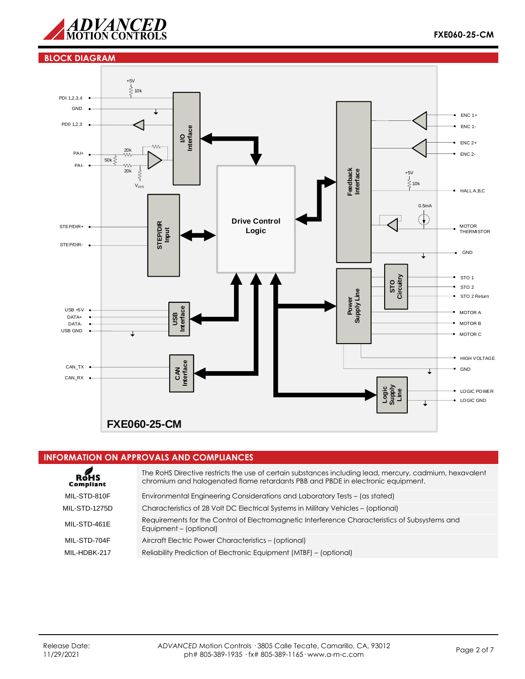

## **BLOCK DIAGRAM**



## **INFORMATION ON APPROVALS AND COMPLIANCES**

| $R$ $M$ s<br><b>Compliant</b> | The RoHS Directive restricts the use of certain substances including lead, mercury, cadmium, hexavalent<br>chromium and halogenated flame retardants PBB and PBDE in electronic equipment. |
|-------------------------------|--------------------------------------------------------------------------------------------------------------------------------------------------------------------------------------------|
| MIL-STD-810F                  | Environmental Engineering Considerations and Laboratory Tests – (as stated)                                                                                                                |
| <b>MIL-STD-1275D</b>          | Characteristics of 28 Volt DC Electrical Systems in Military Vehicles - (optional)                                                                                                         |
| MIL-STD-461E                  | Requirements for the Control of Electromagnetic Interference Characteristics of Subsystems and<br>Equipment - (optional)                                                                   |
| MIL-STD-704F                  | Aircraft Electric Power Characteristics - (optional)                                                                                                                                       |
| MIL-HDBK-217                  | Reliability Prediction of Electronic Equipment (MTBF) - (optional)                                                                                                                         |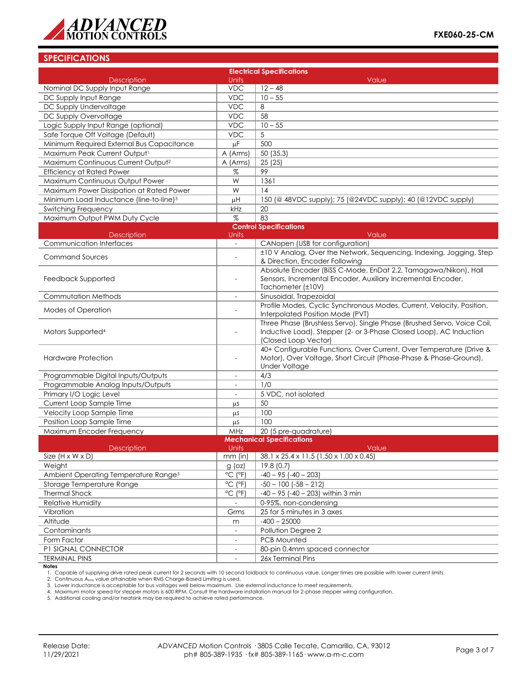

## **SPECIFICATIONS**

|                                                     |                                          | <b>Electrical Specifications</b>                                                                                                                                      |  |  |  |
|-----------------------------------------------------|------------------------------------------|-----------------------------------------------------------------------------------------------------------------------------------------------------------------------|--|--|--|
| <b>Description</b>                                  | Units                                    | Value                                                                                                                                                                 |  |  |  |
| Nominal DC Supply Input Range                       | <b>VDC</b>                               | $12 - 48$                                                                                                                                                             |  |  |  |
| DC Supply Input Range                               | <b>VDC</b>                               | $10 - 55$                                                                                                                                                             |  |  |  |
| DC Supply Undervoltage                              | <b>VDC</b>                               | 8                                                                                                                                                                     |  |  |  |
| DC Supply Overvoltage                               | <b>VDC</b>                               | 58                                                                                                                                                                    |  |  |  |
| Logic Supply Input Range (optional)                 | <b>VDC</b>                               | $10 - 55$                                                                                                                                                             |  |  |  |
| Safe Torque Off Voltage (Default)                   | <b>VDC</b>                               | 5                                                                                                                                                                     |  |  |  |
| Minimum Required External Bus Capacitance           | μF                                       | 500                                                                                                                                                                   |  |  |  |
| Maximum Peak Current Output <sup>1</sup>            | A (Arms)                                 | 50 (35.3)                                                                                                                                                             |  |  |  |
| Maximum Continuous Current Output <sup>2</sup>      | A (Arms)                                 | 25(25)                                                                                                                                                                |  |  |  |
| <b>Efficiency at Rated Power</b>                    | %                                        | 99                                                                                                                                                                    |  |  |  |
| Maximum Continuous Output Power                     | W                                        | 1361                                                                                                                                                                  |  |  |  |
| Maximum Power Dissipation at Rated Power            | W                                        | 14                                                                                                                                                                    |  |  |  |
| Minimum Load Inductance (line-to-line) <sup>3</sup> | μH                                       | 150 (@ 48VDC supply); 75 (@24VDC supply); 40 (@12VDC supply)                                                                                                          |  |  |  |
| <b>Switching Frequency</b>                          | kHz                                      | 20                                                                                                                                                                    |  |  |  |
| Maximum Output PWM Duty Cycle                       | $\%$                                     | 83                                                                                                                                                                    |  |  |  |
|                                                     |                                          | <b>Control Specifications</b>                                                                                                                                         |  |  |  |
| <b>Description</b>                                  | Units                                    | Value                                                                                                                                                                 |  |  |  |
| Communication Interfaces                            | $\overline{\phantom{a}}$                 | CANopen (USB for configuration)                                                                                                                                       |  |  |  |
| <b>Command Sources</b>                              | ÷,                                       | ±10 V Analog, Over the Network, Sequencing, Indexing, Jogging, Step<br>& Direction, Encoder Following                                                                 |  |  |  |
| Feedback Supported                                  |                                          | Absolute Encoder (BiSS C-Mode, EnDat 2.2, Tamagawa/Nikon), Hall<br>Sensors, Incremental Encoder, Auxiliary Incremental Encoder,<br>Tachometer (±10V)                  |  |  |  |
| Commutation Methods                                 | $\overline{\phantom{a}}$                 | Sinusoidal, Trapezoidal                                                                                                                                               |  |  |  |
| Modes of Operation                                  |                                          | Profile Modes, Cyclic Synchronous Modes, Current, Velocity, Position,<br>Interpolated Position Mode (PVT)                                                             |  |  |  |
| Motors Supported <sup>4</sup>                       |                                          | Three Phase (Brushless Servo), Single Phase (Brushed Servo, Voice Coil,<br>Inductive Load), Stepper (2- or 3-Phase Closed Loop), AC Induction<br>(Closed Loop Vector) |  |  |  |
| <b>Hardware Protection</b>                          | ÷,                                       | 40+ Configurable Functions, Over Current, Over Temperature (Drive &<br>Motor), Over Voltage, Short Circuit (Phase-Phase & Phase-Ground),<br><b>Under Voltage</b>      |  |  |  |
| Programmable Digital Inputs/Outputs                 | $\overline{a}$                           | 4/3                                                                                                                                                                   |  |  |  |
| Programmable Analog Inputs/Outputs                  | $\overline{\phantom{a}}$                 | 1/0                                                                                                                                                                   |  |  |  |
| Primary I/O Logic Level                             |                                          | 5 VDC, not isolated                                                                                                                                                   |  |  |  |
| Current Loop Sample Time                            | μS                                       | 50                                                                                                                                                                    |  |  |  |
| Velocity Loop Sample Time                           | μS                                       | 100                                                                                                                                                                   |  |  |  |
| Position Loop Sample Time                           | μS                                       | 100                                                                                                                                                                   |  |  |  |
| Maximum Encoder Frequency                           | MHz                                      | 20 (5 pre-quadrature)                                                                                                                                                 |  |  |  |
|                                                     |                                          | <b>Mechanical Specifications</b>                                                                                                                                      |  |  |  |
| <b>Description</b><br>Size $(H \times W \times D)$  | Units                                    | Value<br>38.1 x 25.4 x 11.5 (1.50 x 1.00 x 0.45)                                                                                                                      |  |  |  |
| Weight                                              | mm (in)                                  | 19.8(0.7)                                                                                                                                                             |  |  |  |
| Ambient Operating Temperature Range <sup>5</sup>    | $g$ (oz)<br>$^{\circ}$ C ( $^{\circ}$ F) | $-40 - 95 (-40 - 203)$                                                                                                                                                |  |  |  |
| Storage Temperature Range                           | $^{\circ}$ C ( $^{\circ}$ F)             | $-50 - 100$ $(-58 - 212)$                                                                                                                                             |  |  |  |
| <b>Thermal Shock</b>                                | $^{\circ}$ C ( $^{\circ}$ F)             | $-40 - 95$ ( $-40 - 203$ ) within 3 min                                                                                                                               |  |  |  |
| Relative Humidity                                   |                                          | 0-95%, non-condensing                                                                                                                                                 |  |  |  |
| Vibration                                           | Grms                                     | 25 for 5 minutes in 3 axes                                                                                                                                            |  |  |  |
| Altitude                                            |                                          | $-400 - 25000$                                                                                                                                                        |  |  |  |
| Contaminants                                        | m                                        | Pollution Degree 2                                                                                                                                                    |  |  |  |
| Form Factor                                         | $\overline{\phantom{a}}$                 | PCB Mounted                                                                                                                                                           |  |  |  |
| P1 SIGNAL CONNECTOR                                 | $\overline{\phantom{a}}$                 | 80-pin 0.4mm spaced connector                                                                                                                                         |  |  |  |
| <b>TERMINAL PINS</b>                                |                                          | 26x Terminal Pins                                                                                                                                                     |  |  |  |
| <b>Notes</b>                                        |                                          |                                                                                                                                                                       |  |  |  |

1. Capable of supplying drive rated peak current for 2 seconds with 10 second foldback to continuous value. Longer times are possible with lower current limits.<br>2. Continuous A<sub>rms</sub> value attainable when RMS Charge-Based L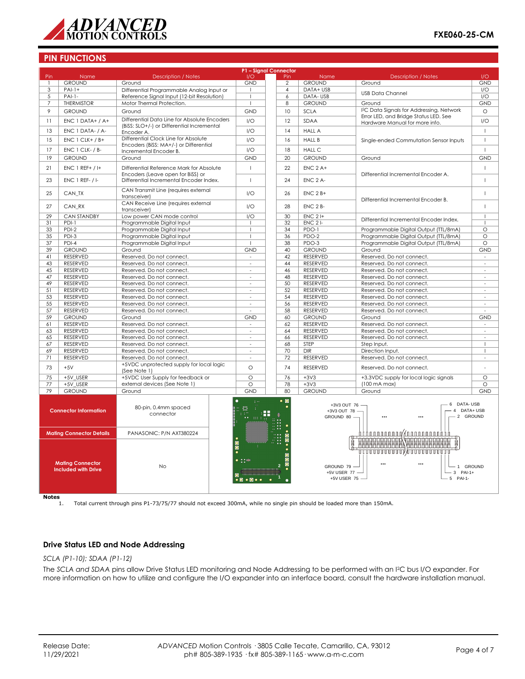

## **PIN FUNCTIONS**

|                 |                                                       |                                                                                | P1 - Signal Connector                |                |                                               |                                                                                       |                          |
|-----------------|-------------------------------------------------------|--------------------------------------------------------------------------------|--------------------------------------|----------------|-----------------------------------------------|---------------------------------------------------------------------------------------|--------------------------|
| Pin             | Name                                                  | <b>Description / Notes</b>                                                     | 1/O                                  | Pin            | Name                                          | <b>Description / Notes</b>                                                            | 1/O                      |
| -1              | <b>GROUND</b>                                         | Ground                                                                         | <b>GND</b>                           | $\overline{2}$ | <b>GROUND</b>                                 | Ground                                                                                | <b>GND</b>               |
| 3               | $PAI-1+$                                              | Differential Programmable Analog Input or                                      | $\mathbf{I}$                         | $\overline{4}$ | DATA+ USB                                     | <b>USB Data Channel</b>                                                               | 1/O                      |
| 5               | $PAI-1-$                                              | Reference Signal Input (12-bit Resolution)                                     | I                                    | 6              | DATA-USB                                      |                                                                                       | I/O                      |
| $\overline{7}$  | <b>THERMISTOR</b>                                     | Motor Thermal Protection.                                                      | Ï                                    | 8              | <b>GROUND</b>                                 | Ground                                                                                | <b>GND</b>               |
| 9               | <b>GROUND</b>                                         | Ground                                                                         | <b>GND</b>                           | 10             | <b>SCLA</b>                                   | I <sup>2</sup> C Data Signals for Addressing, Network                                 | $\circ$                  |
|                 |                                                       | Differential Data Line for Absolute Encoders                                   |                                      |                |                                               | Error LED, and Bridge Status LED. See                                                 |                          |
| 11              | $ENC 1 DATA+ / A+$                                    | (BiSS: SLO+/-) or Differential Incremental                                     | 1/O                                  | 12             | SDAA                                          | Hardware Manual for more info.                                                        | 1/O                      |
| 13              | ENC 1 DATA- / A-                                      | Encoder A.                                                                     | I/O                                  | 14             | <b>HALL A</b>                                 |                                                                                       | $\mathbf{I}$             |
| 15              | $ENC 1 CLK+ / B+$                                     | Differential Clock Line for Absolute<br>Encoders (BiSS: MA+/-) or Differential | 1/O                                  | 16             | <b>HALL B</b>                                 | Single-ended Commutation Sensor Inputs                                                | $\mathbf{I}$             |
| 17              | $ENC 1 CLK- / B-$                                     | Incremental Encoder B.                                                         | 1/O                                  | 18             | <b>HALL C</b>                                 |                                                                                       | $\overline{\phantom{a}}$ |
| 19              | <b>GROUND</b>                                         | Ground                                                                         | <b>GND</b>                           | 20             | <b>GROUND</b>                                 | Ground                                                                                | <b>GND</b>               |
| 21              | $ENC$ 1 REF+ / I+                                     | Differential Reference Mark for Absolute                                       | $\mathbf{I}$                         | 22             | $ENC$ 2 A+                                    |                                                                                       | $\mathbf{I}$             |
| 23              | <b>ENC 1 REF- / I-</b>                                | Encoders (Leave open for BiSS) or<br>Differential Incremental Encoder Index.   | T                                    | 24             | ENC 2 A-                                      | Differential Incremental Encoder A.                                                   | $\mathbf{I}$             |
| 25              | CAN TX                                                | CAN Transmit Line (requires external<br>transceiver)                           | I/O                                  | 26             | $ENC$ $2B+$                                   |                                                                                       | $\mathbf{I}$             |
| 27              | CAN_RX                                                | CAN Receive Line (requires external<br>transceiver)                            | 1/O                                  | 28             | $ENC$ $2B-$                                   | Differential Incremental Encoder B.                                                   | $\overline{1}$           |
| $\overline{29}$ | <b>CAN STANDBY</b>                                    | Low power CAN mode control                                                     | I/O                                  | 30             | $ENC$ 2 I+                                    |                                                                                       | $\overline{1}$           |
| 31              | $PDI-1$                                               | Programmable Digital Input                                                     | -1                                   | 32             | $ENC$ 2 $I-$                                  | Differential Incremental Encoder Index.                                               | -1                       |
| 33              | PDI-2                                                 | Programmable Digital Input                                                     | $\overline{1}$                       | 34             | PDO-1                                         | Programmable Digital Output (TTL/8mA)                                                 | $\circ$                  |
| 35              | PDI-3                                                 | Programmable Digital Input                                                     | $\overline{\phantom{a}}$             | 36             | PDO-2                                         | Programmable Digital Output (TTL/8mA)                                                 | $\circ$                  |
| 37              | $PDI-4$                                               | Programmable Digital Input                                                     |                                      | 38             | PDO-3                                         | Programmable Digital Output (TTL/8mA)                                                 | $\circ$                  |
| 39              | <b>GROUND</b>                                         | Ground                                                                         | <b>GND</b>                           | 40             | <b>GROUND</b>                                 | Ground                                                                                | <b>GND</b>               |
| 41              | RESERVED                                              | Reserved. Do not connect.                                                      | $\sim$                               | 42             | <b>RESERVED</b>                               | Reserved. Do not connect.                                                             | $\sim$                   |
| 43              | RESERVED                                              | Reserved. Do not connect.                                                      | ÷.                                   | 44             | <b>RESERVED</b>                               | Reserved. Do not connect.                                                             | $\sim$                   |
| 45              | RESERVED                                              | Reserved. Do not connect.                                                      | $\sim$                               | 46             | <b>RESERVED</b>                               | Reserved. Do not connect.                                                             | $\sim$                   |
| 47              | RESERVED                                              | Reserved. Do not connect.                                                      | $\overline{\phantom{a}}$             | 48             | RESERVED                                      | Reserved. Do not connect.                                                             |                          |
|                 |                                                       |                                                                                |                                      |                |                                               |                                                                                       |                          |
| 49              | <b>RESERVED</b>                                       | Reserved. Do not connect.                                                      | $\sim$                               | 50             | RESERVED                                      | Reserved. Do not connect.                                                             | $\sim$                   |
| 51              | RESERVED                                              | Reserved. Do not connect.                                                      | $\overline{a}$                       | 52             | <b>RESERVED</b>                               | Reserved. Do not connect.                                                             | ÷                        |
| 53              | RESERVED                                              | Reserved. Do not connect.                                                      | ä,                                   | 54             | RESERVED                                      | Reserved. Do not connect.                                                             | ä,                       |
| 55              | RESERVED                                              | Reserved. Do not connect.                                                      | $\sim$                               | 56             | RESERVED                                      | Reserved. Do not connect.                                                             | $\overline{\phantom{a}}$ |
| 57              | RESERVED                                              | Reserved. Do not connect.                                                      | $\overline{a}$                       | 58             | <b>RESERVED</b>                               | Reserved. Do not connect.                                                             | $\overline{a}$           |
| 59              | <b>GROUND</b>                                         | Ground                                                                         | <b>GND</b>                           | 60             | <b>GROUND</b>                                 | Ground                                                                                | <b>GND</b>               |
| 61              | RESERVED                                              | Reserved. Do not connect.                                                      | $\overline{\phantom{a}}$             | 62             | <b>RESERVED</b>                               | Reserved. Do not connect.                                                             | $\overline{\phantom{a}}$ |
| 63              | RESERVED                                              | Reserved. Do not connect.                                                      | $\omega$                             | 64             | RESERVED                                      | Reserved. Do not connect.                                                             | $\omega$                 |
| 65              | RESERVED                                              | Reserved. Do not connect.                                                      | L.                                   | 66             | RESERVED                                      | Reserved. Do not connect.                                                             | $\bar{a}$                |
| 67              | RESERVED                                              | Reserved. Do not connect.                                                      | $\overline{\phantom{a}}$             | 68             | STEP                                          | Step Input.                                                                           | J.                       |
| 69              | RESERVED                                              | Reserved. Do not connect.                                                      | $\omega$                             | 70             | <b>DIR</b>                                    | Direction Input.                                                                      | $\mathbf{I}$             |
| 71              | RESERVED                                              | Reserved. Do not connect.                                                      | $\overline{\phantom{a}}$             | 72             | RESERVED                                      | Reserved. Do not connect.                                                             | ÷,                       |
| 73              | $+5V$                                                 | +5VDC unprotected supply for local logic<br>(See Note 1)                       | $\circ$                              | 74             | <b>RESERVED</b>                               | Reserved. Do not connect.                                                             |                          |
| $\overline{75}$ | +5V USER                                              | +5VDC User Supply for feedback or                                              | $\overline{\circ}$                   | 76             | $+3V3$                                        | +3.3VDC supply for local logic signals                                                | $\overline{\circ}$       |
| 77              | +5V USER                                              | external devices (See Note 1)                                                  | $\Omega$                             | 78             | $+3V3$                                        | $(100 \text{ mA} \text{ max})$                                                        | $\Omega$                 |
| 79              | <b>GROUND</b>                                         | Ground                                                                         | <b>GND</b>                           | 80             | <b>GROUND</b>                                 | Ground                                                                                | GND                      |
|                 | <b>Connector Information</b>                          | 80-pin, 0.4mm spaced<br>connector                                              | ÷.<br>ş<br>ж<br>$\pm\pm\pm$          | $\bullet$ 0    | +3V3 OUT 76 -<br>+3V3 OUT 78 -<br>GROUND 80 - | 6 DATA-USB<br>2 GROUND                                                                | DATA+ USB                |
|                 | <b>Mating Connector Details</b>                       | PANASONIC: P/N AXT380224                                                       |                                      |                |                                               |                                                                                       |                          |
|                 | <b>Mating Connector</b><br><b>Included with Drive</b> | <b>No</b>                                                                      | $\frac{1}{2}$<br>$\bullet$ $\bullet$ |                | GROUND 79<br>+5V USER 77 -<br>+5V USER 75 -   | 0000000000000000000000000<br>$\ddot{\phantom{a}}$<br>1 GROUND<br>3 PAI-1+<br>5 PAI-1- |                          |

**Notes**

1. Total current through pins P1-73/75/77 should not exceed 300mA, while no single pin should be loaded more than 150mA.

## **Drive Status LED and Node Addressing**

#### *SCLA (P1-10); SDAA (P1-12)*

The *SCLA and SDAA* pins allow Drive Status LED monitoring and Node Addressing to be performed with an I2C bus I/O expander. For more information on how to utilize and configure the I/O expander into an interface board, consult the hardware installation manual.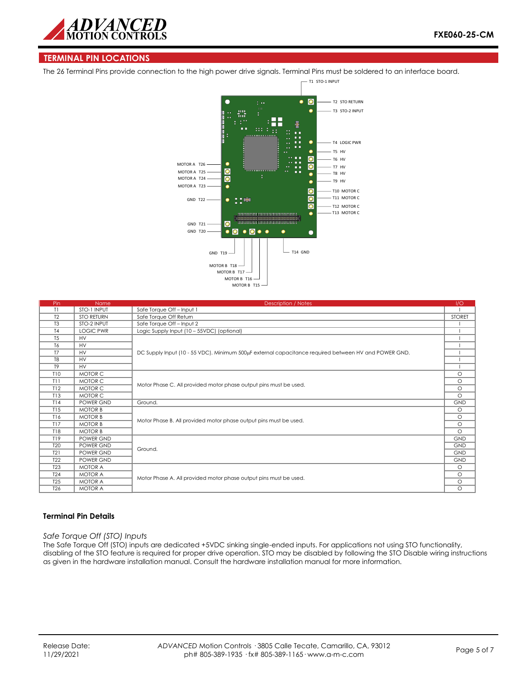

## **TERMINAL PIN LOCATIONS**

The 26 Terminal Pins provide connection to the high power drive signals. Terminal Pins must be soldered to an interface board.



| Pin             | <b>Name</b>       | <b>Description / Notes</b>                                                                           | 1/O           |
|-----------------|-------------------|------------------------------------------------------------------------------------------------------|---------------|
| T1              | STO-1 INPUT       | Safe Torque Off - Input 1                                                                            |               |
| T <sub>2</sub>  | <b>STO RETURN</b> | Safe Torque Off Return                                                                               | <b>STORET</b> |
| T <sub>3</sub>  | STO-2 INPUT       | Safe Torque Off - Input 2                                                                            |               |
| T <sub>4</sub>  | <b>LOGIC PWR</b>  | Logic Supply Input (10 - 55VDC) (optional)                                                           |               |
| T <sub>5</sub>  | <b>HV</b>         |                                                                                                      |               |
| T <sub>6</sub>  | <b>HV</b>         |                                                                                                      |               |
| T <sub>7</sub>  | <b>HV</b>         | DC Supply Input (10 - 55 VDC). Minimum 500µF external capacitance required between HV and POWER GND. |               |
| T <sub>8</sub>  | <b>HV</b>         |                                                                                                      |               |
| T <sub>9</sub>  | <b>HV</b>         |                                                                                                      |               |
| <b>T10</b>      | MOTOR C           |                                                                                                      | $\circ$       |
| T11             | MOTOR C           | Motor Phase C. All provided motor phase output pins must be used.                                    | $\circ$       |
| T12             | MOTOR C           |                                                                                                      | $\circ$       |
| T13             | MOTOR C           |                                                                                                      | $\circ$       |
| T14             | POWER GND         | Ground.                                                                                              | <b>GND</b>    |
| T15             | <b>MOTOR B</b>    |                                                                                                      | $\circ$       |
| T16             | <b>MOTOR B</b>    | Motor Phase B. All provided motor phase output pins must be used.                                    | $\circ$       |
| T17             | <b>MOTOR B</b>    |                                                                                                      | $\circ$       |
| <b>T18</b>      | <b>MOTOR B</b>    |                                                                                                      | $\circ$       |
| T19             | POWER GND         |                                                                                                      | <b>GND</b>    |
| T <sub>20</sub> | POWER GND         | Ground.                                                                                              | <b>GND</b>    |
| T21             | POWER GND         |                                                                                                      | <b>GND</b>    |
| T <sub>22</sub> | POWER GND         |                                                                                                      | <b>GND</b>    |
| <b>T23</b>      | <b>MOTOR A</b>    |                                                                                                      | $\circ$       |
| <b>T24</b>      | <b>MOTOR A</b>    |                                                                                                      | $\circ$       |
| <b>T25</b>      | <b>MOTOR A</b>    | Motor Phase A. All provided motor phase output pins must be used.                                    | $\circ$       |
| T <sub>26</sub> | <b>MOTOR A</b>    |                                                                                                      | $\circ$       |

## **Terminal Pin Details**

#### *Safe Torque Off (STO) Inputs*

The Safe Torque Off (STO) inputs are dedicated +5VDC sinking single-ended inputs. For applications not using STO functionality, disabling of the STO feature is required for proper drive operation. STO may be disabled by following the STO Disable wiring instructions as given in the hardware installation manual. Consult the hardware installation manual for more information.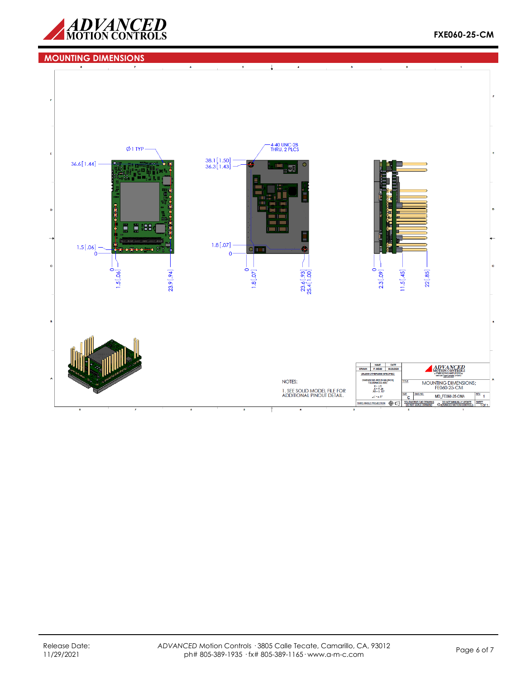

#### **MOUNTING DIMENSIONS** $\downarrow$ -4-40 UNC-2B<br>THRU, 2 PLCS  $Ø1$  TYP - $38.1[1.50]$ <br> $36.3[1.43]$  $36.6[1.44]$  -Îч **E : 88** ÷  $1.8[.07]$  $1.5[.06]$  $\circ$  000 تعقبها  $\mathbf{0}$  $23.6[.93] - 25.4[1.00]$ ö Ó  $1.5[.06]$  $1.8[.07]$ 2.3[.09]  $11.5[.45]$  $22[.85]$ 23.9[.94] NAME DATE<br>DRAWN P.MEAD 06/26/202 ADVANCED UNLESS OTHERWISE SPECIFIED **NSIONS ARE IN MM (I)**<br>TOLERANCES ARE: NOTES: MOUNTING DIMENSIONS;<br>FE060-25-CM LERANCES ARI<br>  $X = \pm .5$ <br>  $X = \pm .25$ <br>  $X0 = \pm .127$ <br>  $X = \pm .5$ 1. SEE SOLID MODEL FILE FOR<br>ADDITIONAL PINOUT DETAIL.  $rac{a}{c}$ MD\_FE060-25-CMA  $\ddot{\phantom{0}}$  $\angle$  =  $\pm$  5 **BUNOT MANUALLY**<br>CADVANCED MOTION  $\frac{SHEET}{10F1}$ THRD ANGLE PROJECTION @C **SOLIDW**<br>DO NO